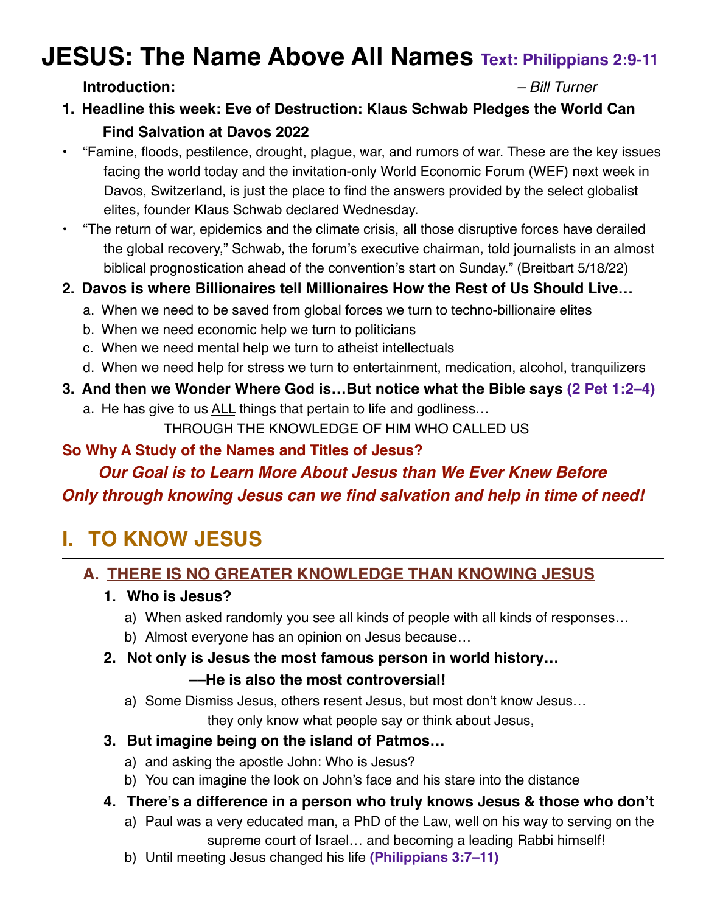# **JESUS: The Name Above All Names Text: Philippians 2:9-11**

#### **Introduction:** *– Bill Turner*

- **1. Headline this week: Eve of Destruction: Klaus Schwab Pledges the World Can Find Salvation at Davos 2022**
- "Famine, floods, pestilence, drought, plague, war, and rumors of war. These are the key issues facing the world today and the invitation-only World Economic Forum (WEF) next week in Davos, Switzerland, is just the place to find the answers provided by the select globalist elites, founder Klaus Schwab declared Wednesday.
- "The return of war, epidemics and the climate crisis, all those disruptive forces have derailed the global recovery," Schwab, the forum's executive chairman, told journalists in an almost biblical prognostication ahead of the convention's start on Sunday." (Breitbart 5/18/22)
- **2. Davos is where Billionaires tell Millionaires How the Rest of Us Should Live…**
	- a. When we need to be saved from global forces we turn to techno-billionaire elites
	- b. When we need economic help we turn to politicians
	- c. When we need mental help we turn to atheist intellectuals
	- d. When we need help for stress we turn to entertainment, medication, alcohol, tranquilizers
- **3. And then we Wonder Where God is…But notice what the Bible says (2 Pet 1:2–4)**
	- a. He has give to us ALL things that pertain to life and godliness… THROUGH THE KNOWLEDGE OF HIM WHO CALLED US

#### **So Why A Study of the Names and Titles of Jesus?**

### *Our Goal is to Learn More About Jesus than We Ever Knew Before Only through knowing Jesus can we find salvation and help in time of need!*

# **I. TO KNOW JESUS**

#### **A. THERE IS NO GREATER KNOWLEDGE THAN KNOWING JESUS**

#### **1. Who is Jesus?**

- a) When asked randomly you see all kinds of people with all kinds of responses…
- b) Almost everyone has an opinion on Jesus because…
- **2. Not only is Jesus the most famous person in world history…**

#### **––He is also the most controversial!**

a) Some Dismiss Jesus, others resent Jesus, but most don't know Jesus…

they only know what people say or think about Jesus,

- **3. But imagine being on the island of Patmos…**
	- a) and asking the apostle John: Who is Jesus?
	- b) You can imagine the look on John's face and his stare into the distance
- **4. There's a difference in a person who truly knows Jesus & those who don't**
	- a) Paul was a very educated man, a PhD of the Law, well on his way to serving on the supreme court of Israel… and becoming a leading Rabbi himself!
	- b) Until meeting Jesus changed his life **(Philippians 3:7–11)**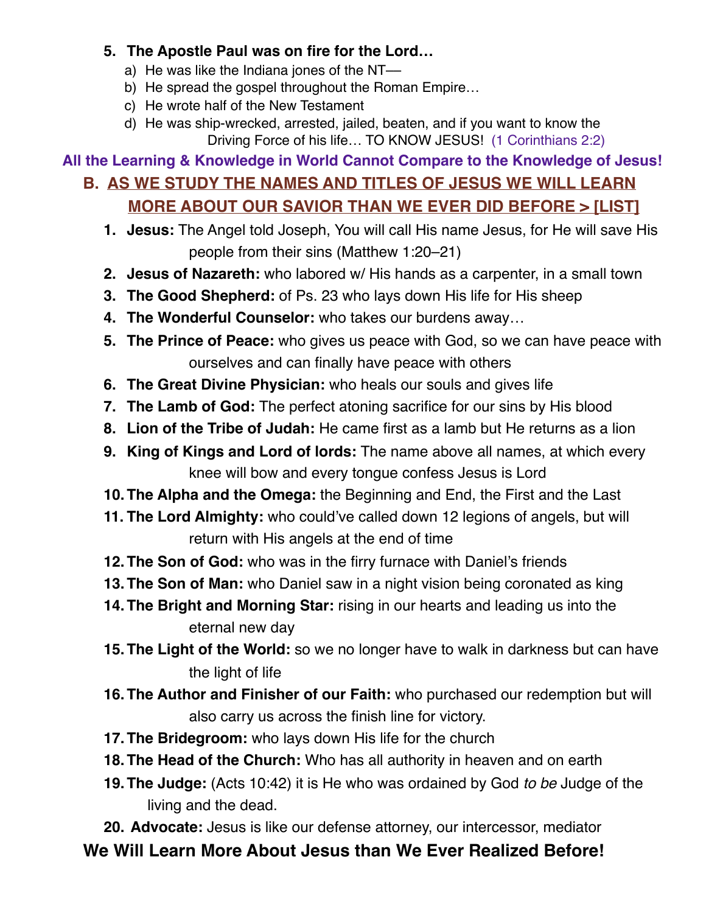#### **5. The Apostle Paul was on fire for the Lord…**

- a) He was like the Indiana jones of the NT-
- b) He spread the gospel throughout the Roman Empire…
- c) He wrote half of the New Testament
- d) He was ship-wrecked, arrested, jailed, beaten, and if you want to know the Driving Force of his life… TO KNOW JESUS! (1 Corinthians 2:2)

### **All the Learning & Knowledge in World Cannot Compare to the Knowledge of Jesus!**

#### **B. AS WE STUDY THE NAMES AND TITLES OF JESUS WE WILL LEARN MORE ABOUT OUR SAVIOR THAN WE EVER DID BEFORE > [LIST]**

- **1. Jesus:** The Angel told Joseph, You will call His name Jesus, for He will save His people from their sins (Matthew 1:20–21)
- **2. Jesus of Nazareth:** who labored w/ His hands as a carpenter, in a small town
- **3. The Good Shepherd:** of Ps. 23 who lays down His life for His sheep
- **4. The Wonderful Counselor:** who takes our burdens away…
- **5. The Prince of Peace:** who gives us peace with God, so we can have peace with ourselves and can finally have peace with others
- **6. The Great Divine Physician:** who heals our souls and gives life
- **7. The Lamb of God:** The perfect atoning sacrifice for our sins by His blood
- **8. Lion of the Tribe of Judah:** He came first as a lamb but He returns as a lion
- **9. King of Kings and Lord of lords:** The name above all names, at which every knee will bow and every tongue confess Jesus is Lord
- **10.The Alpha and the Omega:** the Beginning and End, the First and the Last
- **11. The Lord Almighty:** who could've called down 12 legions of angels, but will return with His angels at the end of time
- **12.The Son of God:** who was in the firry furnace with Daniel's friends
- **13.The Son of Man:** who Daniel saw in a night vision being coronated as king
- **14.The Bright and Morning Star:** rising in our hearts and leading us into the eternal new day
- **15.The Light of the World:** so we no longer have to walk in darkness but can have the light of life
- **16.The Author and Finisher of our Faith:** who purchased our redemption but will also carry us across the finish line for victory.
- **17.The Bridegroom:** who lays down His life for the church
- **18.The Head of the Church:** Who has all authority in heaven and on earth
- **19.The Judge:** (Acts 10:42) it is He who was ordained by God *to be* Judge of the living and the dead.

**20. Advocate:** Jesus is like our defense attorney, our intercessor, mediator

# **We Will Learn More About Jesus than We Ever Realized Before!**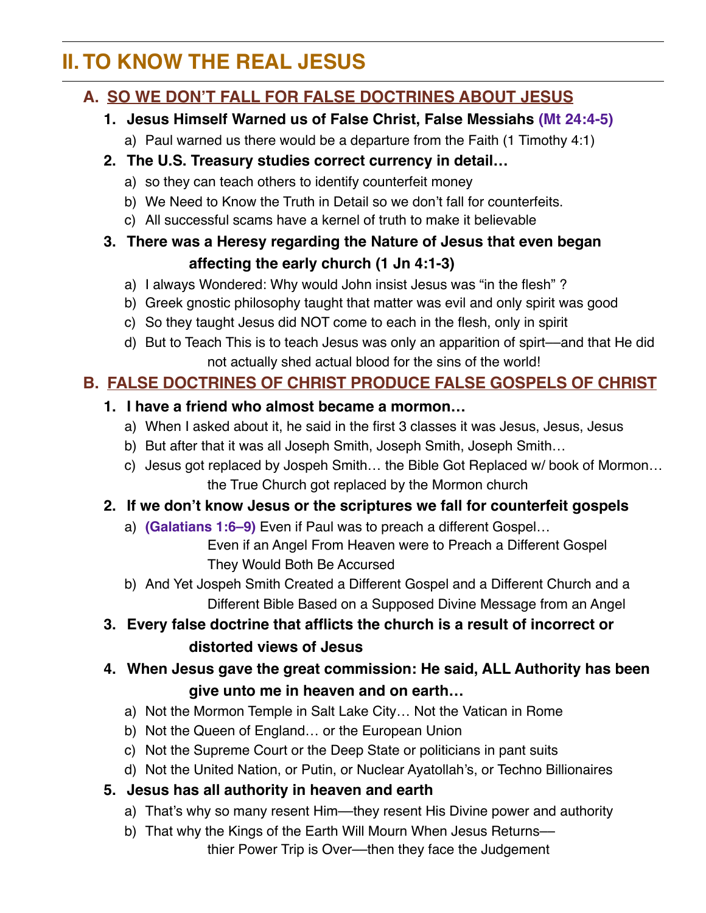# **II. TO KNOW THE REAL JESUS**

## **A. SO WE DON'T FALL FOR FALSE DOCTRINES ABOUT JESUS**

#### **1. Jesus Himself Warned us of False Christ, False Messiahs (Mt 24:4-5)**

a) Paul warned us there would be a departure from the Faith (1 Timothy 4:1)

#### **2. The U.S. Treasury studies correct currency in detail…**

- a) so they can teach others to identify counterfeit money
- b) We Need to Know the Truth in Detail so we don't fall for counterfeits.
- c) All successful scams have a kernel of truth to make it believable

#### **3. There was a Heresy regarding the Nature of Jesus that even began affecting the early church (1 Jn 4:1-3)**

- a) I always Wondered: Why would John insist Jesus was "in the flesh" ?
- b) Greek gnostic philosophy taught that matter was evil and only spirit was good
- c) So they taught Jesus did NOT come to each in the flesh, only in spirit
- d) But to Teach This is to teach Jesus was only an apparition of spirt––and that He did not actually shed actual blood for the sins of the world!

## **B. FALSE DOCTRINES OF CHRIST PRODUCE FALSE GOSPELS OF CHRIST**

#### **1. I have a friend who almost became a mormon…**

- a) When I asked about it, he said in the first 3 classes it was Jesus, Jesus, Jesus
- b) But after that it was all Joseph Smith, Joseph Smith, Joseph Smith…
- c) Jesus got replaced by Jospeh Smith… the Bible Got Replaced w/ book of Mormon… the True Church got replaced by the Mormon church

#### **2. If we don't know Jesus or the scriptures we fall for counterfeit gospels**

- a) **(Galatians 1:6–9)** Even if Paul was to preach a different Gospel… Even if an Angel From Heaven were to Preach a Different Gospel They Would Both Be Accursed
- b) And Yet Jospeh Smith Created a Different Gospel and a Different Church and a Different Bible Based on a Supposed Divine Message from an Angel

## **3. Every false doctrine that afflicts the church is a result of incorrect or distorted views of Jesus**

## **4. When Jesus gave the great commission: He said, ALL Authority has been give unto me in heaven and on earth…**

- a) Not the Mormon Temple in Salt Lake City… Not the Vatican in Rome
- b) Not the Queen of England… or the European Union
- c) Not the Supreme Court or the Deep State or politicians in pant suits
- d) Not the United Nation, or Putin, or Nuclear Ayatollah's, or Techno Billionaires

#### **5. Jesus has all authority in heaven and earth**

- a) That's why so many resent Him––they resent His Divine power and authority
- b) That why the Kings of the Earth Will Mourn When Jesus Returns– thier Power Trip is Over––then they face the Judgement